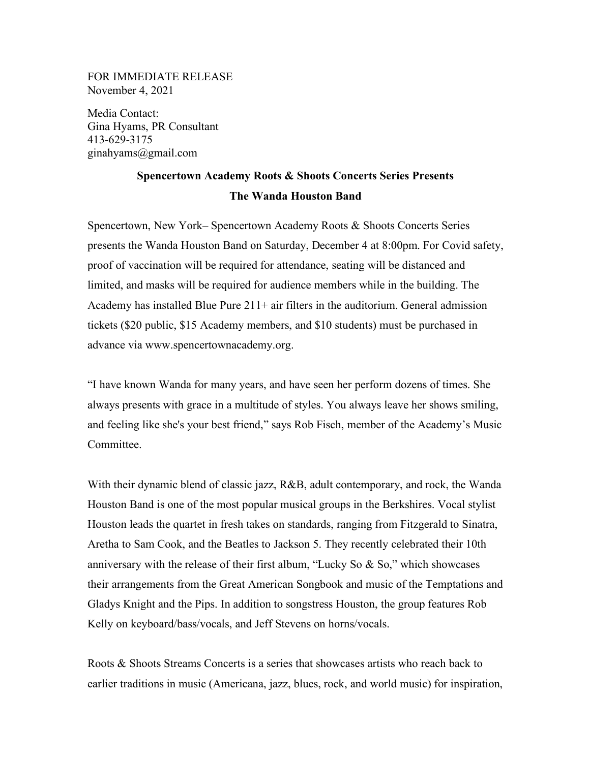## FOR IMMEDIATE RELEASE November 4, 2021

Media Contact: Gina Hyams, PR Consultant 413-629-3175 ginahyams@gmail.com

## **Spencertown Academy Roots & Shoots Concerts Series Presents The Wanda Houston Band**

Spencertown, New York– Spencertown Academy Roots & Shoots Concerts Series presents the Wanda Houston Band on Saturday, December 4 at 8:00pm. For Covid safety, proof of vaccination will be required for attendance, seating will be distanced and limited, and masks will be required for audience members while in the building. The Academy has installed Blue Pure 211+ air filters in the auditorium. General admission tickets (\$20 public, \$15 Academy members, and \$10 students) must be purchased in advance via www.spencertownacademy.org.

"I have known Wanda for many years, and have seen her perform dozens of times. She always presents with grace in a multitude of styles. You always leave her shows smiling, and feeling like she's your best friend," says Rob Fisch, member of the Academy's Music Committee.

With their dynamic blend of classic jazz, R&B, adult contemporary, and rock, the Wanda Houston Band is one of the most popular musical groups in the Berkshires. Vocal stylist Houston leads the quartet in fresh takes on standards, ranging from Fitzgerald to Sinatra, Aretha to Sam Cook, and the Beatles to Jackson 5. They recently celebrated their 10th anniversary with the release of their first album, "Lucky So & So," which showcases their arrangements from the Great American Songbook and music of the Temptations and Gladys Knight and the Pips. In addition to songstress Houston, the group features Rob Kelly on keyboard/bass/vocals, and Jeff Stevens on horns/vocals.

Roots & Shoots Streams Concerts is a series that showcases artists who reach back to earlier traditions in music (Americana, jazz, blues, rock, and world music) for inspiration,